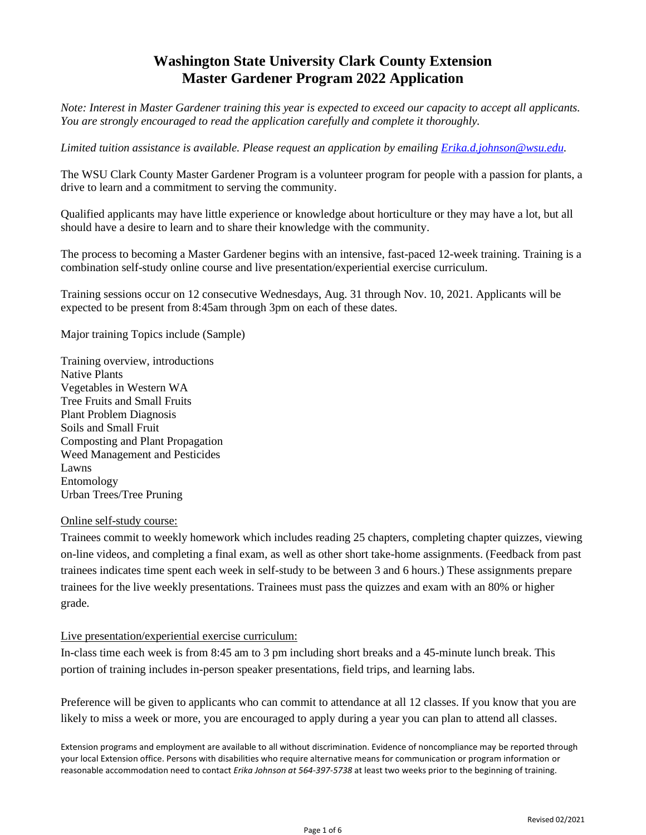# **Washington State University Clark County Extension Master Gardener Program 2022 Application**

*Note: Interest in Master Gardener training this year is expected to exceed our capacity to accept all applicants. You are strongly encouraged to read the application carefully and complete it thoroughly.* 

*Limited tuition assistance is available. Please request an application by emailing [Erika.d.johnson@wsu.edu.](mailto:Erika.d.johnson@wsu.edu)* 

The WSU Clark County Master Gardener Program is a volunteer program for people with a passion for plants, a drive to learn and a commitment to serving the community.

Qualified applicants may have little experience or knowledge about horticulture or they may have a lot, but all should have a desire to learn and to share their knowledge with the community.

The process to becoming a Master Gardener begins with an intensive, fast-paced 12-week training. Training is a combination self-study online course and live presentation/experiential exercise curriculum.

Training sessions occur on 12 consecutive Wednesdays, Aug. 31 through Nov. 10, 2021. Applicants will be expected to be present from 8:45am through 3pm on each of these dates.

Major training Topics include (Sample)

Training overview, introductions Native Plants Vegetables in Western WA Tree Fruits and Small Fruits Plant Problem Diagnosis Soils and Small Fruit Composting and Plant Propagation Weed Management and Pesticides Lawns Entomology Urban Trees/Tree Pruning

### Online self-study course:

Trainees commit to weekly homework which includes reading 25 chapters, completing chapter quizzes, viewing on-line videos, and completing a final exam, as well as other short take-home assignments. (Feedback from past trainees indicates time spent each week in self-study to be between 3 and 6 hours.) These assignments prepare trainees for the live weekly presentations. Trainees must pass the quizzes and exam with an 80% or higher grade.

#### Live presentation/experiential exercise curriculum:

In-class time each week is from 8:45 am to 3 pm including short breaks and a 45-minute lunch break. This portion of training includes in-person speaker presentations, field trips, and learning labs.

Preference will be given to applicants who can commit to attendance at all 12 classes. If you know that you are likely to miss a week or more, you are encouraged to apply during a year you can plan to attend all classes.

Extension programs and employment are available to all without discrimination. Evidence of noncompliance may be reported through your local Extension office. Persons with disabilities who require alternative means for communication or program information or reasonable accommodation need to contact *Erika Johnson at 564-397-5738* at least two weeks prior to the beginning of training.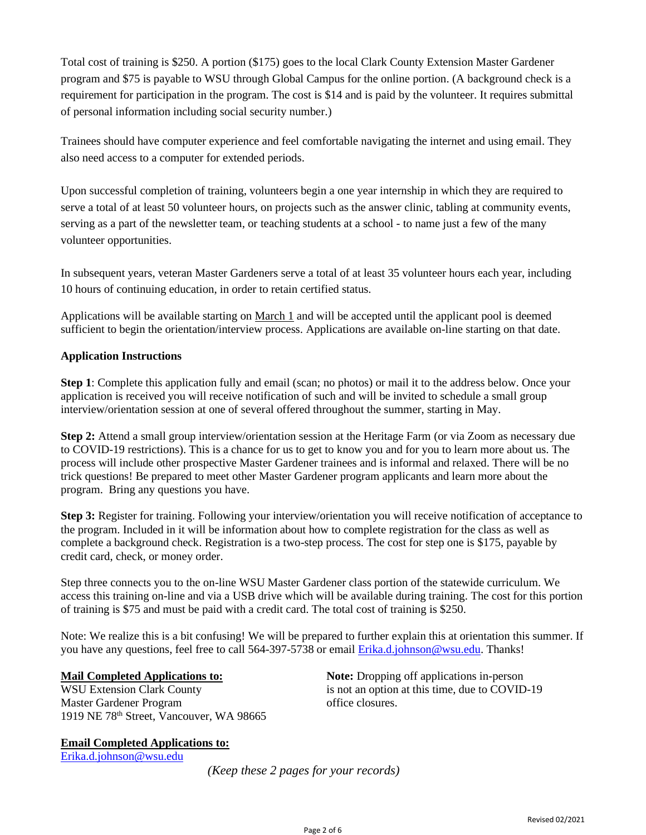Total cost of training is \$250. A portion (\$175) goes to the local Clark County Extension Master Gardener program and \$75 is payable to WSU through Global Campus for the online portion. (A background check is a requirement for participation in the program. The cost is \$14 and is paid by the volunteer. It requires submittal of personal information including social security number.)

Trainees should have computer experience and feel comfortable navigating the internet and using email. They also need access to a computer for extended periods.

Upon successful completion of training, volunteers begin a one year internship in which they are required to serve a total of at least 50 volunteer hours, on projects such as the answer clinic, tabling at community events, serving as a part of the newsletter team, or teaching students at a school - to name just a few of the many volunteer opportunities.

In subsequent years, veteran Master Gardeners serve a total of at least 35 volunteer hours each year, including 10 hours of continuing education, in order to retain certified status.

Applications will be available starting on March 1 and will be accepted until the applicant pool is deemed sufficient to begin the orientation/interview process. Applications are available on-line starting on that date.

## **Application Instructions**

**Step 1**: Complete this application fully and email (scan; no photos) or mail it to the address below. Once your application is received you will receive notification of such and will be invited to schedule a small group interview/orientation session at one of several offered throughout the summer, starting in May.

**Step 2:** Attend a small group interview/orientation session at the Heritage Farm (or via Zoom as necessary due to COVID-19 restrictions). This is a chance for us to get to know you and for you to learn more about us. The process will include other prospective Master Gardener trainees and is informal and relaxed. There will be no trick questions! Be prepared to meet other Master Gardener program applicants and learn more about the program. Bring any questions you have.

**Step 3:** Register for training. Following your interview/orientation you will receive notification of acceptance to the program. Included in it will be information about how to complete registration for the class as well as complete a background check. Registration is a two-step process. The cost for step one is \$175, payable by credit card, check, or money order.

Step three connects you to the on-line WSU Master Gardener class portion of the statewide curriculum. We access this training on-line and via a USB drive which will be available during training. The cost for this portion of training is \$75 and must be paid with a credit card. The total cost of training is \$250.

Note: We realize this is a bit confusing! We will be prepared to further explain this at orientation this summer. If you have any questions, feel free to call 564-397-5738 or email [Erika.d.johnson@wsu.edu.](mailto:Erika.d.johnson@wsu.edu) Thanks!

Master Gardener Program office closures. 1919 NE 78th Street, Vancouver, WA 98665

**Email Completed Applications to:** [Erika.d.johnson@wsu.edu](mailto:Erika.d.johnson@wsu.edu)

**Mail Completed Applications to: Note:** Dropping off applications in-person WSU Extension Clark County is not an option at this time, due to COVID-19

*(Keep these 2 pages for your records)*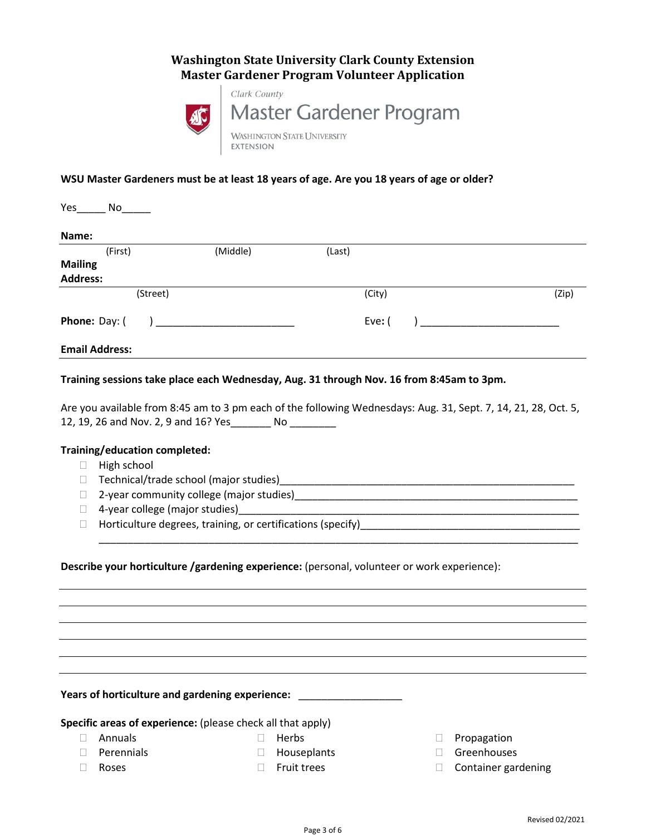## **Washington State University Clark County Extension Master Gardener Program Volunteer Application**



#### **WSU Master Gardeners must be at least 18 years of age. Are you 18 years of age or older?**

| Yes<br>No             |          |        |       |
|-----------------------|----------|--------|-------|
| Name:                 |          |        |       |
| (First)               | (Middle) | (Last) |       |
| <b>Mailing</b>        |          |        |       |
| <b>Address:</b>       |          |        |       |
| (Street)              |          | (City) | (Zip) |
| Phone: Day: (         |          | Eve: ( |       |
| <b>Email Address:</b> |          |        |       |

#### **Training sessions take place each Wednesday, Aug. 31 through Nov. 16 from 8:45am to 3pm.**

Are you available from 8:45 am to 3 pm each of the following Wednesdays: Aug. 31, Sept. 7, 14, 21, 28, Oct. 5, 12, 19, 26 and Nov. 2, 9 and 16? Yes\_\_\_\_\_\_\_ No \_\_\_\_\_\_\_\_

\_\_\_\_\_\_\_\_\_\_\_\_\_\_\_\_\_\_\_\_\_\_\_\_\_\_\_\_\_\_\_\_\_\_\_\_\_\_\_\_\_\_\_\_\_\_\_\_\_\_\_\_\_\_\_\_\_\_\_\_\_\_\_\_\_\_\_\_\_\_\_\_\_\_\_\_\_\_\_\_\_\_\_

#### **Training/education completed:**

- $\Box$  High school
- Technical/trade school (major studies)\_\_\_\_\_\_\_\_\_\_\_\_\_\_\_\_\_\_\_\_\_\_\_\_\_\_\_\_\_\_\_\_\_\_\_\_\_\_\_\_\_\_\_\_\_\_\_\_\_\_\_
- □ 2-year community college (major studies)
- □ 4-year college (major studies)
- □ Horticulture degrees, training, or certifications (specify)<br>□

#### **Describe your horticulture /gardening experience:** (personal, volunteer or work experience):

**Years of horticulture and gardening experience:** \_\_\_\_\_\_\_\_\_\_\_\_\_\_\_\_\_\_

**Specific areas of experience:** (please check all that apply)

- 
- 
- □ Annuals □ Berbs □ Propagation
- □ Perennials and South Contracts and Houseplants and Greenhouses
- □ Roses and the Fruit trees and the Container gardening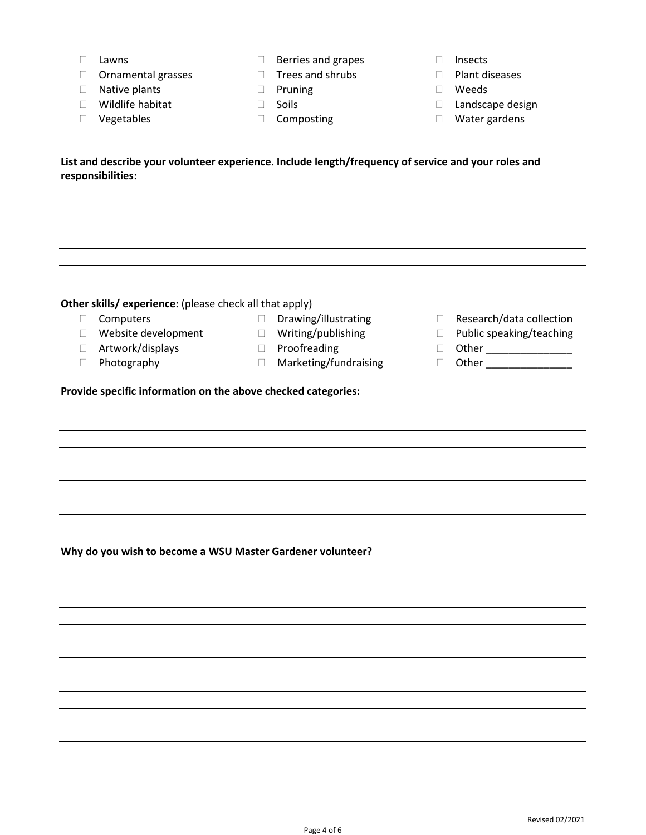- □ Lawns and grapes **Insects**
- $\Box$  Ornamental grasses  $\Box$  Trees and shrubs  $\Box$  Plant diseases
- □ Native plants 
Pruning 
Pruning 
Weeds
- 
- 
- 
- 
- 
- 
- 
- 
- □ Wildlife habitat Landscape design
- □ Vegetables Composting Composting Composting COMPOSITY

**List and describe your volunteer experience. Include length/frequency of service and your roles and responsibilities:**

#### **Other skills/ experience:** (please check all that apply)

- 
- $\Box$  Website development  $\Box$  Writing/publishing  $\Box$  Public speaking/teaching
- $\Box$  Artwork/displays  $\Box$  Proofreading  $\Box$  Other  $\Box$
- 
- 
- 
- 
- Photography Marketing/fundraising Other \_\_\_\_\_\_\_\_\_\_\_\_\_\_\_
- □ Computers <br>□ Drawing/illustrating Research/data collection
	- -
	-
- **Provide specific information on the above checked categories:**

#### **Why do you wish to become a WSU Master Gardener volunteer?**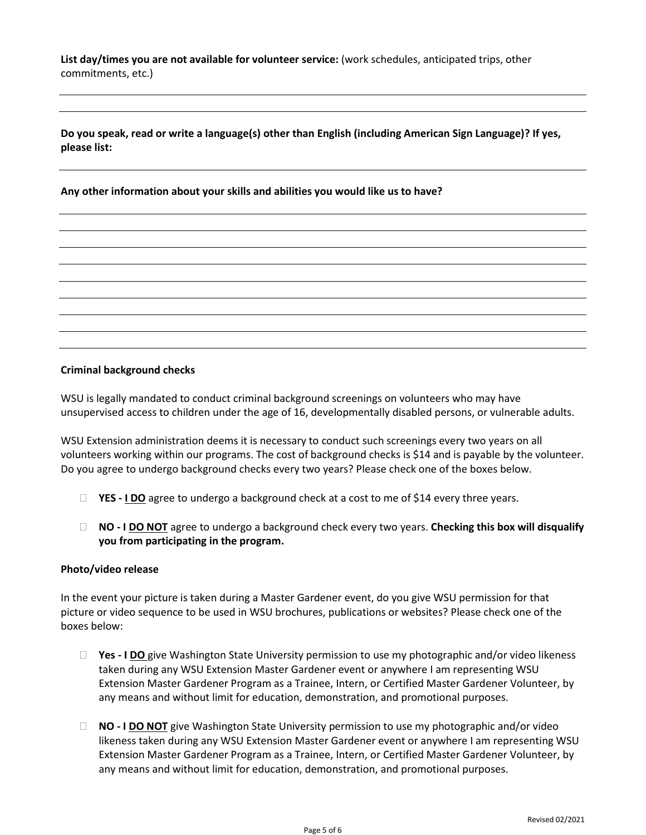**List day/times you are not available for volunteer service:** (work schedules, anticipated trips, other commitments, etc.)

**Do you speak, read or write a language(s) other than English (including American Sign Language)? If yes, please list:**

**Any other information about your skills and abilities you would like us to have?**

#### **Criminal background checks**

WSU is legally mandated to conduct criminal background screenings on volunteers who may have unsupervised access to children under the age of 16, developmentally disabled persons, or vulnerable adults.

WSU Extension administration deems it is necessary to conduct such screenings every two years on all volunteers working within our programs. The cost of background checks is \$14 and is payable by the volunteer. Do you agree to undergo background checks every two years? Please check one of the boxes below.

- □ YES  **<u>I DO</u>** agree to undergo a background check at a cost to me of \$14 every three years.
- **NO - I DO NOT** agree to undergo a background check every two years. **Checking this box will disqualify you from participating in the program.**

#### **Photo/video release**

In the event your picture is taken during a Master Gardener event, do you give WSU permission for that picture or video sequence to be used in WSU brochures, publications or websites? Please check one of the boxes below:

- **Yes - I DO** give Washington State University permission to use my photographic and/or video likeness taken during any WSU Extension Master Gardener event or anywhere I am representing WSU Extension Master Gardener Program as a Trainee, Intern, or Certified Master Gardener Volunteer, by any means and without limit for education, demonstration, and promotional purposes.
- **NO - I DO NOT** give Washington State University permission to use my photographic and/or video likeness taken during any WSU Extension Master Gardener event or anywhere I am representing WSU Extension Master Gardener Program as a Trainee, Intern, or Certified Master Gardener Volunteer, by any means and without limit for education, demonstration, and promotional purposes.